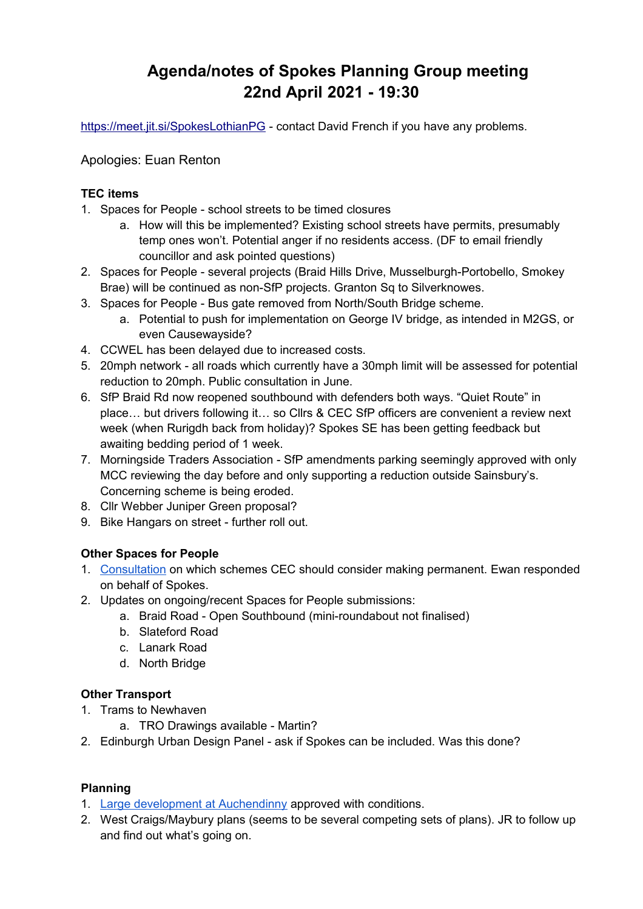# **Agenda/notes of Spokes Planning Group meeting 22nd April 2021 - 19:30**

<https://meet.jit.si/SpokesLothianPG>- contact David French if you have any problems.

Apologies: Euan Renton

#### **TEC items**

- 1. Spaces for People school streets to be timed closures
	- a. How will this be implemented? Existing school streets have permits, presumably temp ones won't. Potential anger if no residents access. (DF to email friendly councillor and ask pointed questions)
- 2. Spaces for People several projects (Braid Hills Drive, Musselburgh-Portobello, Smokey Brae) will be continued as non-SfP projects. Granton Sq to Silverknowes.
- 3. Spaces for People Bus gate removed from North/South Bridge scheme.
	- a. Potential to push for implementation on George IV bridge, as intended in M2GS, or even Causewayside?
- 4. CCWEL has been delayed due to increased costs.
- 5. 20mph network all roads which currently have a 30mph limit will be assessed for potential reduction to 20mph. Public consultation in June.
- 6. SfP Braid Rd now reopened southbound with defenders both ways. "Quiet Route" in place… but drivers following it… so Cllrs & CEC SfP officers are convenient a review next week (when Rurigdh back from holiday)? Spokes SE has been getting feedback but awaiting bedding period of 1 week.
- 7. Morningside Traders Association SfP amendments parking seemingly approved with only MCC reviewing the day before and only supporting a reduction outside Sainsbury's. Concerning scheme is being eroded.
- 8. Cllr Webber Juniper Green proposal?
- 9. Bike Hangars on street further roll out.

## **Other Spaces for People**

- 1. [Consultation](https://consultationhub.edinburgh.gov.uk/bi/retainingspacesforpeopleconsultation/) on which schemes CEC should consider making permanent. Ewan responded on behalf of Spokes.
- 2. Updates on ongoing/recent Spaces for People submissions:
	- a. Braid Road Open Southbound (mini-roundabout not finalised)
	- b. Slateford Road
	- c. Lanark Road
	- d. North Bridge

## **Other Transport**

- 1. Trams to Newhaven
	- a. TRO Drawings available Martin?
- 2. Edinburgh Urban Design Panel ask if Spokes can be included. Was this done?

## **Planning**

- 1. [Large development at Auchendinny](https://planning-applications.midlothian.gov.uk/OnlinePlanning/applicationDetails.do?activeTab=documents&keyVal=Q5HN8AKVLB500) approved with conditions.
- 2. West Craigs/Maybury plans (seems to be several competing sets of plans). JR to follow up and find out what's going on.